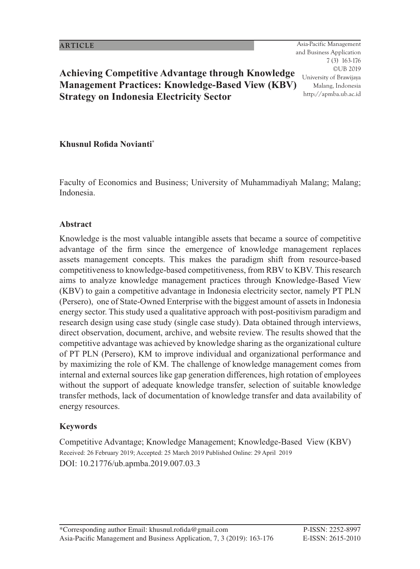163<br>163 - Johannes<br>163 - Johannes Johannes Asia-Pacific Management and Business Application 7 (3) 163-176 ©UB 2019 University of Brawijaya Malang, Indonesia http://apmba.ub.ac.id

# **Achieving Competitive Advantage through Knowledge Management Practices: Knowledge-Based View (KBV) Strategy on Indonesia Electricity Sector**

#### **Khusnul Rofida Novianti**\*

Faculty of Economics and Business; University of Muhammadiyah Malang; Malang; Indonesia.

#### **Abstract**

Knowledge is the most valuable intangible assets that became a source of competitive advantage of the firm since the emergence of knowledge management replaces assets management concepts. This makes the paradigm shift from resource-based competitiveness to knowledge-based competitiveness, from RBV to KBV. This research aims to analyze knowledge management practices through Knowledge-Based View (KBV) to gain a competitive advantage in Indonesia electricity sector, namely PT PLN (Persero), one of State-Owned Enterprise with the biggest amount of assets in Indonesia energy sector. This study used a qualitative approach with post-positivism paradigm and research design using case study (single case study). Data obtained through interviews, direct observation, document, archive, and website review. The results showed that the competitive advantage was achieved by knowledge sharing as the organizational culture of PT PLN (Persero), KM to improve individual and organizational performance and by maximizing the role of KM. The challenge of knowledge management comes from internal and external sources like gap generation differences, high rotation of employees without the support of adequate knowledge transfer, selection of suitable knowledge transfer methods, lack of documentation of knowledge transfer and data availability of energy resources.

#### **Keywords**

Competitive Advantage; Knowledge Management; Knowledge-Based View (KBV) Received: 26 February 2019; Accepted: 25 March 2019 Published Online: 29 April 2019 DOI: 10.21776/ub.apmba.2019.007.03.3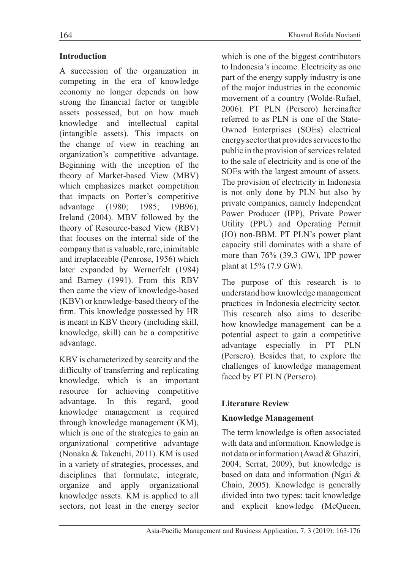# **Introduction**

A succession of the organization in competing in the era of knowledge economy no longer depends on how strong the financial factor or tangible assets possessed, but on how much knowledge and intellectual capital (intangible assets). This impacts on the change of view in reaching an organization's competitive advantage. Beginning with the inception of the theory of Market-based View (MBV) which emphasizes market competition that impacts on Porter's competitive advanta  $(1980; 1985; 19B96)$ Ireland  $(2004)$ . MBV followed by the theory of Resource-based View (RBV) that focuses on the internal side of the company that is valuable, rare, inimitable and irreplaceable (Penrose, 1956) which later expanded by Wernerfelt (1984) and Barney (1991). From this RBV then came the view of knowledge-based (KBV) or knowledge-based theory of the firm. This knowledge possessed by HR is meant in KBV theory (including skill, knowledge, skill) can be a competitive advantage.

KBV is characterized by scarcity and the difficulty of transferring and replicating knowledge, which is an important resource for achieving competitive advanta ge. In this regard, go od knowledge management is required through knowledge management (KM), which is one of the strategies to gain an organizational competitive advantage (Nonaka & Takeuchi, 2011). KM is used in a variety of strategies, processes, and disciplines that formulate, integrate, organize and apply organizational knowledge assets. KM is applied to all sectors, not least in the energy sector which is one of the biggest contributors to Indonesia's income. Electricity as one part of the energy supply industry is one of the major industries in the economic movement of a country (Wolde-Rufael, 2006). PT PLN (Persero) hereinafter referred to as PLN is one of the State-Owned Enterprises (SOEs) electrical energy sector that provides services to the public in the provision of services related to the sale of electricity and is one of the SOEs with the largest amount of assets. The provision of electricity in Indonesia is not only done by PLN but also by private companies, namely Independent Power Producer (IPP), Private Power Utility (PPU) and Operating Permit (IO) non-BBM. PT PLN's power plant capacity still dominates with a share of more than  $76\%$  (39.3 GW), IPP power plant at  $15\%$  (7.9 GW).

The purpose of this research is to understand how knowledge management practices in Indonesia electricity sector. This research also aims to describe how knowledge management can be a potential aspect to gain a competitive advantage especially in PT PLN (Persero). Besides that, to explore the challenges of knowledge management faced by PT PLN (Persero).

# **Literature Review**

### **Knowledge Management**

The term knowledge is often associated with data and information. Knowledge is not data or information (Awad & Ghaziri, 2004; Serrat, 2009), but knowledge is based on data and information (Ngai  $\&$ Chain, 2005). Knowledge is generally divided into two types: tacit knowledge and explicit knowledge (McQueen,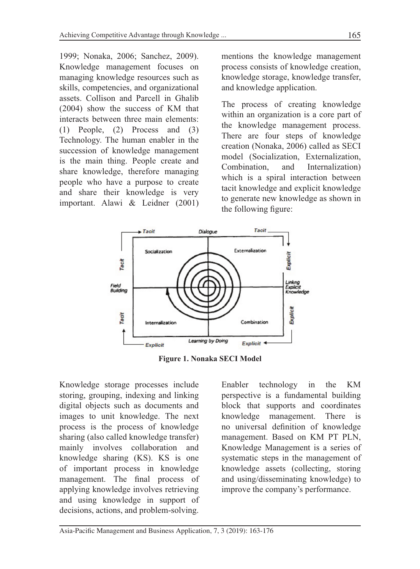1999; Nonaka, 2006; Sanchez, 2009). Knowledge management focuses on managing knowledge resources such as skills, competencies, and organizational assets. Collison and Parcell in Ghalib  $(2004)$  show the success of KM that interacts between three main elements:  $(1)$  People,  $(2)$  Process and  $(3)$ Technology. The human enabler in the succession of knowledge management is the main thing. People create and share knowledge, therefore managing people who have a purpose to create and share their knowledge is very important. Alawi & Leidner (2001) mentions the knowledge management process consists of knowledge creation, knowledge storage, knowledge transfer, and knowledge application.

The process of creating knowledge within an organization is a core part of the knowledge management process. There are four steps of knowledge creation (Nonaka, 2006) called as SECI model (Socialization, Externalization, Combination, a nd Internalization) which is a spiral interaction between tacit knowledge and explicit knowledge to generate new knowledge as shown in the following figure:



**Figure 1. Nonaka SECI Model** 

Knowledge storage processes include storing, grouping, indexing and linking digital objects such as documents and images to unit knowledge. The next process is the process of knowledge sharing (also called knowledge transfer) mainly involves collaboration and knowledge sharing (KS). KS is one of important process in knowledge management. The final process of applying knowledge involves retrieving and using knowledge in support of decisions, actions, and problem-solving.

Enabler technology in the KM perspective is a fundamental building block that supports and coordinates knowledge management. There is no universal definition of knowledge management. Based on KM PT PLN, Knowledge Management is a series of systematic steps in the management of knowledge assets (collecting, storing and using/disseminating knowledge) to improve the company's performance.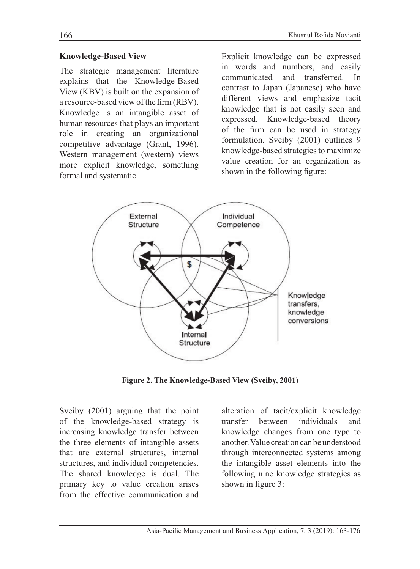#### **Knowledge-Based View**

The strategic management literature explains that the Knowledge-Based View (KBV) is built on the expansion of a resource-based view of the firm (RBV). Knowledge is an intangible asset of human resources that plays an important role in creating an organizational competitive advantage (Grant, 1996). Western management (western) views more explicit knowledge, something formal and systematic.

Explicit knowledge can be expressed in words and numbers, and easily communicated and transferred. In contrast to Japan (Japanese) who have different views and emphasize tacit knowledge that is not easily seen and expressed. Knowledge-based theory of the firm can be used in strategy formulation. Sveiby (2001) outlines 9 knowledge-based strategies to maximize value creation for an organization as shown in the following figure:



Figure 2. The Knowledge-Based View (Sveiby, 2001)

Sveiby (2001) arguing that the point of the knowledge-based strategy is increasing knowledge transfer between the three elements of intangible assets that are external structures, internal structures, and individual competencies. The shared knowledge is dual. The primary key to value creation arises from the effective communication and

alteration of tacit/explicit knowledge hetween individuals transfer and knowledge changes from one type to another. Value creation can be understood through interconnected systems among the intangible asset elements into the following nine knowledge strategies as shown in figure 3: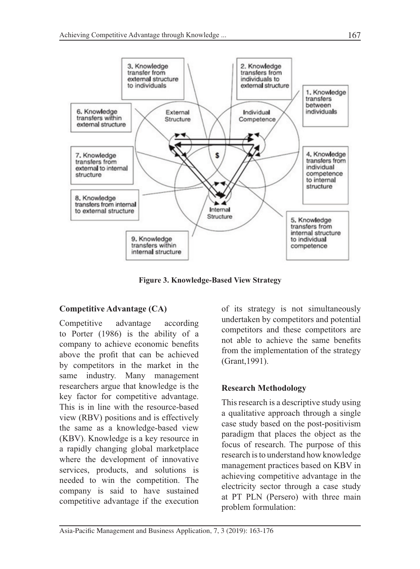

**Figure 3. Knowledge-Based View Strategy**

### **Competitive Advantage (CA)**

Competitive advantage according to Porter  $(1986)$  is the ability of a company to achieve economic benefits above the profit that can be achieved by competitors in the market in the same industry. Many management researchers argue that knowledge is the key factor for competitive advantage. This is in line with the resource-based view (RBV) positions and is effectively the same as a knowledge-based view (KBV). Knowledge is a key resource in a rapidly changing global marketplace where the development of innovative services, products, and solutions is needed to win the competition. The company is said to have sustained competitive advantage if the execution

of its strategy is not simultaneously undertaken by competitors and potential competitors and these competitors are not able to achieve the same benefits from the implementation of the strategy (Grant, 1991).

### **Research Methodology**

This research is a descriptive study using a qualitative approach through a single case study based on the post-positivism paradigm that places the object as the focus of research. The purpose of this research is to understand how knowledge management practices based on KBV in achieving competitive advantage in the electricity sector through a case study at PT PLN (Persero) with three main problem formulation: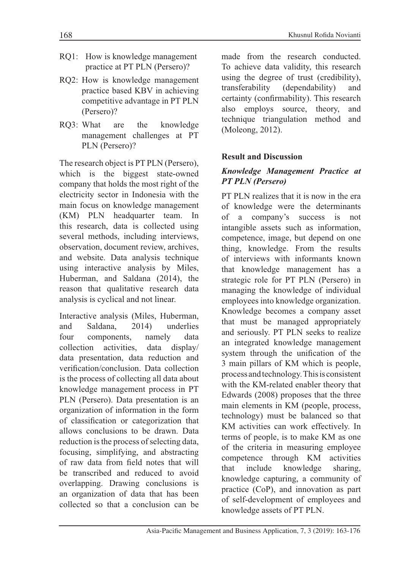- RQ1: How is knowledge management practice at PT PLN (Persero)?
- RQ2: How is knowledge management practice based KBV in achieving competitive advantage in PT PLN (Persero)?
- RQ3: What are re the knowledge management challenges at PT PLN (Persero)?

The research object is PT PLN (Persero), which is the biggest state-owned company that holds the most right of the electricity sector in Indonesia with the main focus on knowledge management (KM) PLN headquarter team. In this research, data is collected using several methods, including interviews, observation, document review, archives, and website. Data analysis technique using interactive analysis by Miles, Huberman, and Saldana (2014), the reason that qualitative research data analysis is cyclical and not linear.

Interactive analysis (Miles, Huberman, and nd Saldana 2014) underlies  $four$ ur components, na namely ta collectio n activities, data display/ data presentation, data reduction and verification/conclusion. Data collection is the process of collecting all data about knowledge management process in PT PLN (Persero). Data presentation is an organization of information in the form of classification or categorization that allows conclusions to be drawn. Data reduction is the process of selecting data, focusing, simplifying, and abstracting of raw data from field notes that will be transcribed and reduced to avoid overlapping. Drawing conclusions is an organization of data that has been collected so that a conclusion can be

made from the research conducted. To achieve data validity, this research using the degree of trust (credibility), transfera bility (dependability) a and certainty (confirmability). This research also employs source, theo theory, and technique triangulation method and (Moleong, 2012).

### **Result and Discussion**

#### *Knowledge Management Practice at PT PLN (Persero)*

PT PLN realizes that it is now in the era of knowledge were the determinants of a company's success is not intangible assets such as information, competence, image, but depend on one thing, knowledge. From the results of interviews with informants known that knowledge management has a strategic role for PT PLN (Persero) in managing the knowledge of individual employees into knowledge organization. Knowledge becomes a company asset that must be managed appropriately and seriously. PT PLN seeks to realize an integrated knowledge management system through the unification of the 3 main pillars of KM which is people, process and technology. This is consistent with the KM-related enabler theory that Edwards (2008) proposes that the three main elements in KM (people, process, technology) must be balanced so that KM activities can work effectively. In terms of people, is to make KM as one of the criteria in measuring employee competence through KM activities that include knowledge sharing. knowledge capturing, a community of practice (CoP), and innovation as part of self-development of employees and knowledge assets of PT PLN.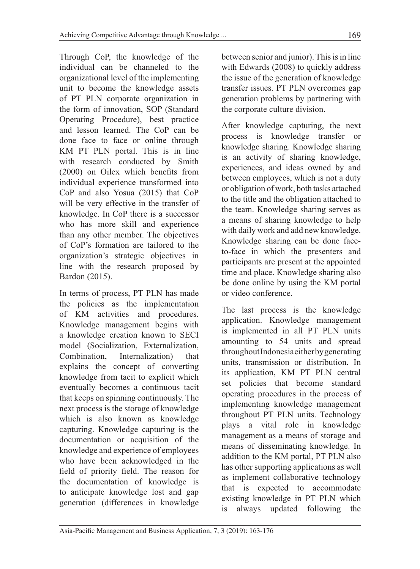Through CoP, the knowledge of the individual can be channeled to the organizational level of the implementing unit to become the knowledge assets of PT PLN corporate organization in the form of innovation, SOP (Standard Operating Procedure), best practice and lesson learned. The CoP can be done face to face or online through KM PT PLN portal. This is in line with research conducted by Smith  $(2000)$  on Oilex which benefits from individual experience transformed into  $CoP$  and also Yosua  $(2015)$  that  $CoP$ will be very effective in the transfer of knowledge. In CoP there is a successor who has more skill and experience than any other member. The objectives of CoP's formation are tailored to the organization's strategic objectives in line with the research proposed by Bardon (2015).

In terms of process, PT PLN has made the policies as the implementation of KM activities and procedures. Knowledge management begins with a knowledge creation known to SECI model (Socialization, Externalization, Combinatio n, Internalizatio n) that explains the concept of converting knowledge from tacit to explicit which eventually becomes a continuous tacit that keeps on spinning continuously. The next process is the storage of knowledge which is also known as knowledge capturing. Knowledge capturing is the documentation or acquisition of the knowledge and experience of employees who have been acknowledged in the field of priority field. The reason for the documentation of knowledge is to anticipate knowledge lost and gap generation (differences in knowledge

between senior and junior). This is in line with Edwards (2008) to quickly address the issue of the generation of knowledge transfer issues. PT PLN overcomes gap generation problems by partnering with the corporate culture division.

After knowledge capturing, the next process is knowledge transfer or knowledge sharing. Knowledge sharing is an activity of sharing knowledge, experiences, and ideas owned by and between employees, which is not a duty or obligation of work, both tasks attached to the title and the obligation attached to the team. Knowledge sharing serves as a means of sharing knowledge to help with daily work and add new knowledge. Knowledge sharing can be done faceto-face in which the presenters and participants are present at the appointed time and place. Knowledge sharing also be done online by using the KM portal or video conference.

The last process is the knowledge application. Knowledge management is implemented in all PT PLN units amounting to 54 units and spread throughout Indonesia either by generating units, transmission or distribution. In its application, KM PT PLN central set policies that become standard operating procedures in the process of implementing knowledge management throughout PT PLN units. Technology plays a vital role in knowledge management as a means of storage and means of disseminating knowledge. In addition to the KM portal, PT PLN also has other supporting applications as well as implement collaborative technology that is expected to accommodate existing knowledge in PT PLN which is always updated following the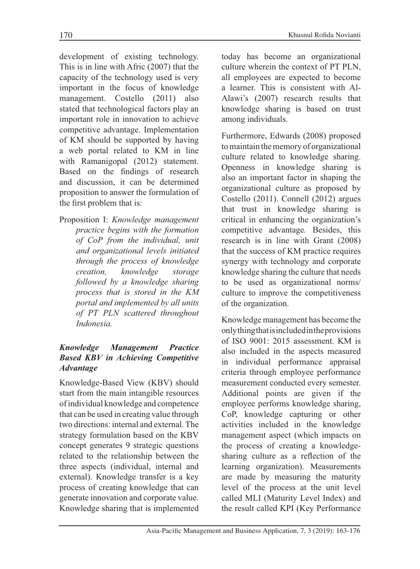development of existing technology. This is in line with Afric  $(2007)$  that the capacity of the technology used is very important in the focus of knowledge management. Costello (2011) also stated that technological factors play an important role in innovation to achieve competitive advantage. Implementation of KM should be supported by having a web portal related to KM in line with Ramanigopal (2012) statement. Based on the findings of research and discussion, it can be determined proposition to answer the formulation of the first problem that is:

Proposition I: *Knowledge management practice begins with the formation of CoP from the individual, unit and organizational levels initiated through the process of knowledge creation, knowledge storage followed by a knowledge sharing process that is stored in the KM portal and implemented by all units of PT PLN scattered throughout Indonesia.*

# *Knowledge Management Practice Based KBV in Achieving Competitive Advantage*

Knowledge-Based View (KBV) should start from the main intangible resources of individual knowledge and competence that can be used in creating value through two directions: internal and external. The strategy formulation based on the KBV concept generates 9 strategic questions related to the relationship between the three aspects (individual, internal and external). Knowledge transfer is a key process of creating knowledge that can generate innovation and corporate value. Knowledge sharing that is implemented today has become an organizational culture wherein the context of PT PLN, all employees are expected to become a learner. This is consistent with Al-Alawi's (2007) research results that knowledge sharing is based on trust among individuals.

Furthermore, Edwards (2008) proposed to maintain the memory of organizational culture related to knowledge sharing. Openness in knowledge sharing is also an important factor in shaping the organizational culture as proposed by Costello (2011). Connell (2012) argues that trust in knowledge sharing is critical in enhancing the organization's competitive advantage. Besides, this research is in line with Grant  $(2008)$ that the success of KM practice requires synergy with technology and corporate knowledge sharing the culture that needs to be used as organizational norms/ culture to improve the competitiveness of the organization.

Knowledge management has become the only thing that is included in the provisions of ISO 9001: 2015 assessment. KM is also included in the aspects measured in individual performance appraisal criteria through employee performance measurement conducted every semester. Additional points are given if the employee performs knowledge sharing, CoP, knowledge capturing or other activities included in the knowledge management aspect (which impacts on the process of creating a knowledgesharing culture as a reflection of the learning organization). Measurements are made by measuring the maturity level of the process at the unit level called MLI (Maturity Level Index) and the result called KPI (Key Performance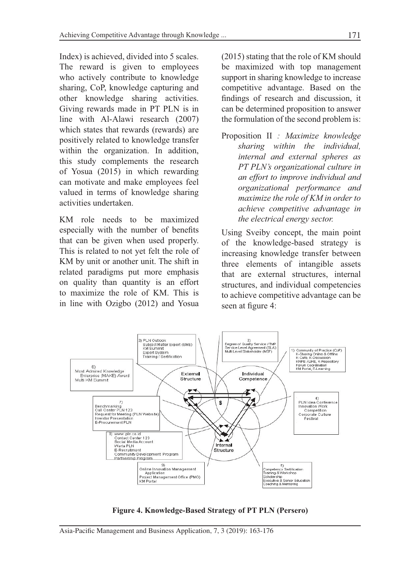Index) is achieved, divided into 5 scales. The reward is given to employees who actively contribute to knowledge sharing, CoP, knowledge capturing and other knowledge sharing activities. Giving rewards made in PT PLN is in line with Al-Alawi research  $(2007)$ which states that rewards (rewards) are positively related to knowledge transfer within the organization. In addition, this study complements the research of Yosua (2015) in which rewarding can motivate and make employees feel valued in terms of knowledge sharing activities undertaken.

KM role needs to be maximized especially with the number of benefits that can be given when used properly. This is related to not yet felt the role of KM by unit or another unit. The shift in related paradigms put more emphasis on quality than quantity is an effort to maximize the role of KM. This is in line with Ozigbo  $(2012)$  and Yosua

 $(2015)$  stating that the role of KM should be maximized with top management support in sharing knowledge to increase competitive advantage. Based on the findings of research and discussion, it can be determined proposition to answer the formulation of the second problem is:

Proposition II : Maximize knowledge *sharing within the individual, internal and external spheres as PT PLN's organizational culture in an effort to improve individual and organizational performance and maximize the role of KM in order to achieve competitive advantage in the electrical energy sector.*

Using Sveiby concept, the main point of the knowledge-based strategy is increasing knowledge transfer between three elements of intangible assets that are external structures, internal structures, and individual competencies to achieve competitive advantage can be seen at figure 4:



Figure 4. Knowledge-Based Strategy of PT PLN (Persero)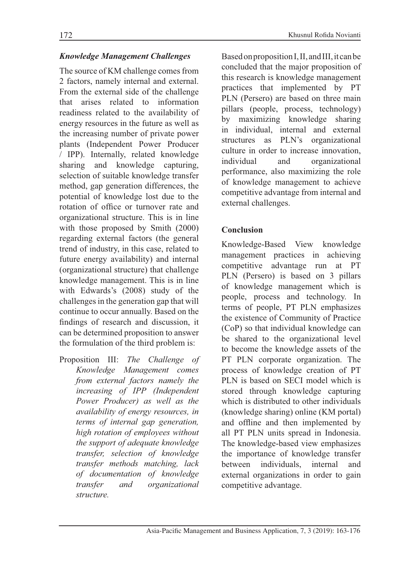#### *Knowledge Management Challenges*

The source of KM challenge comes from 2 factors, namely internal and external. From the external side of the challenge that arises related to information readiness related to the availability of energy resources in the future as well as the increasing number of private power plants (Independent Power Producer / IPP). Internally, related knowledge sharing and knowledge capturing, selection of suitable knowledge transfer method, gap generation differences, the potential of knowledge lost due to the rotation of office or turnover rate and organizational structure. This is in line with those proposed by Smith  $(2000)$ regarding external factors (the general trend of industry, in this case, related to future energy availability) and internal (organizational structure) that challenge knowledge management. This is in line with Edwards's (2008) study of the challenges in the generation gap that will continue to occur annually. Based on the findings of research and discussion, it can be determined proposition to answer the formulation of the third problem is:

Proposition III: The Challenge of *Knowledge Management comes from external factors namely the increasing of IPP (Independent Power Producer) as well as the availability of energy resources, in terms of internal gap generation, high rotation of employees without the support of adequate knowledge transfer, selection of knowledge transfer methods matching, lack of documentation of knowledge transfer and organizational structure.*

Based on proposition I, II, and III, it can be concluded that the major proposition of this research is knowledge management practices that implemented by PT PLN (Persero) are based on three main pillars (people, process, technology) by maximizing knowledge sharing in individual, internal and external structures as PLN's organizational culture in order to increase innovation, individual and organizational performance, also maximizing the role of knowledge management to achieve competitive advantage from internal and external challenges.

### **Conclusion**

Knowledge-Based View kno knowledge management practices in achieving competitive advantage run at PT PLN (Persero) is based on 3 pillars of knowledge management which is people, process and technology. In terms of people, PT PLN emphasizes the existence of Community of Practice (CoP) so that individual knowledge can be shared to the organizational level to become the knowledge assets of the PT PLN corporate organization. The process of knowledge creation of PT PLN is based on SECI model which is stored through knowledge capturing which is distributed to other individuals (knowledge sharing) online (KM portal) and offline and then implemented by all PT PLN units spread in Indonesia. The knowledge-based view emphasizes the importance of knowledge transfer between individuals. ls, internal a and external organizations in order to gain competitive advantage.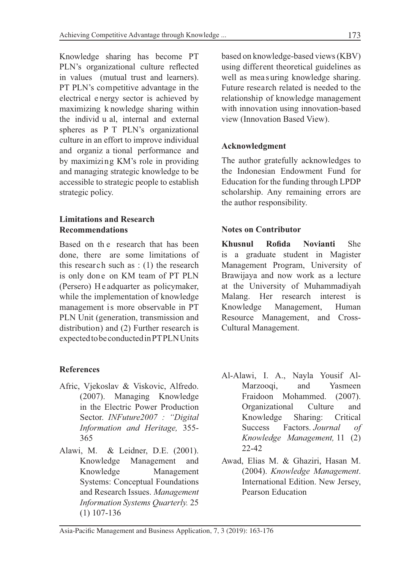Knowledge sharing has become PT PLN's organizational culture reflected in values (mutual trust and learners). PT PLN's competitive advantage in the electrical e nergy sector is achieved by maximizing k nowledge sharing within the individ u al, internal and external spheres as P T PLN's organizational culture in an effort to improve individual and organiz a tional performance and by maximizing KM's role in providing and managing strategic knowledge to be accessible to strategic people to establish strategic policy.

### **Limitations and Research Recommendations**

Based on th e research that has been done, there are some limitations of this research such as : (1) the research is only done on KM team of PT PLN (Persero) H e adquarter as policymaker, while the implementation of knowledge management is more observable in PT PLN Unit (generation, transmission and distribution) and (2) Further research is expected to be conducted in PT PLN Units

### **References**

- Afric, Vjekoslav & Viskovic, Alfredo. (2007). Managing Knowledge in the Electric Power Production Sector. *INFuture2007 : "Digital Information and Heritage,* 355- 365
- Alawi, M. & Leidner, D.E. (2001). Knowledge Management and Knowledge Management Systems: Conceptual Foundations and Research Issues. *Management Information Systems Quarterly.* 25 (1) 107-136

based on knowledge-based views (KBV) using different theoretical guidelines as well as mea suring knowledge sharing. Future research related is needed to the relationship of knowledge management with innovation using innovation-based view (Innovation Based View).

#### **Acknowledgment**

The author gratefully acknowledges to the Indonesian Endowment Fund for Education for the funding through LPDP scholarship. Any remaining errors are the author responsibility.

#### **Notes on Contributor**

**Khusnul Rofida Novianti** She is a graduate student in Magister Management Program, University of Brawijaya and now work as a lecture at the University of Muhammadiyah Malang. Her research interest is Knowledge Management, Human Resource Management, and Cross-Cultural Management.

- Al-Alawi, I. A., Nayla Yousif Al-Marzooqi, and Yasmeen Fraidoon Mohammed. (2007). Organizational Culture and Knowledge Sharing: Critical Success Factors. *Journal of Knowledge Management,* 11 (2) 22-42
- Awad, Elias M. & Ghaziri, Hasan M. (2004). *Knowledge Management*. International Edition. New Jersey, Pearson Education

Asia-Pacific Management and Business Application, 7, 3 (2019): 163-176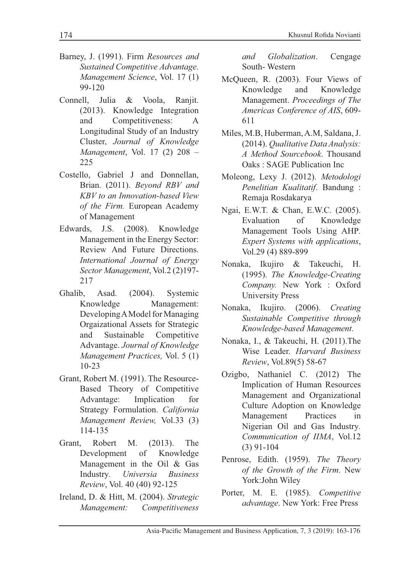- Barney, J. (1991). Firm Resources and Sustained Competitive Advantage. Management Science, Vol. 17 (1) 99-120
- Connell. Julia & Voola. Raniit. (2013). Knowledge Integration Competitiveness: and  $\mathsf{A}$ Longitudinal Study of an Industry Cluster, Journal of Knowledge Management, Vol. 17 (2) 208 -225
- Costello, Gabriel J and Donnellan, Brian. (2011). Beyond RBV and KBV to an Innovation-based View of the Firm. European Academy of Management
- Edwards, J.S. (2008). Knowledge Management in the Energy Sector: Review And Future Directions. International Journal of Energy Sector Management, Vol.2 (2)197-217
- Asad. Ghalib.  $(2004).$ Systemic Knowledge Management: Developing A Model for Managing Orgaizational Assets for Strategic and Sustainable Competitive Advantage. Journal of Knowledge Management Practices, Vol. 5 (1)  $10 - 23$
- Grant, Robert M. (1991). The Resource-Based Theory of Competitive Implication Advantage: for Strategy Formulation. California Management Review, Vol.33 (3) 114-135
- Grant. Robert M.  $(2013).$ The Development of Knowledge Management in the Oil & Gas Industry. Universia **Business** Review, Vol. 40 (40) 92-125
- Ireland, D. & Hitt, M. (2004). Strategic Competitiveness Management:

Globalization. and Cengage South-Western

- McQueen, R. (2003). Four Views of Knowledge and Knowledge Management. Proceedings of The Americas Conference of AIS, 609-611
- Miles, M.B, Huberman, A.M, Saldana, J. (2014). Qualitative Data Analysis: A Method Sourcebook, Thousand Oaks: SAGE Publication Inc
- Moleong, Lexy J. (2012). Metodologi Penelitian Kualitatif. Bandung: Remaja Rosdakarya
- Ngai, E.W.T. & Chan, E.W.C. (2005). Evaluation Knowledge of Management Tools Using AHP. Expert Systems with applications, Vol.29 (4) 889-899
- Nonaka, Ikujiro & Takeuchi, H. (1995). The Knowledge-Creating Company. New York: Oxford **University Press**
- Ikujiro.  $(2006)$ . Nonaka, Creating Sustainable Competitive through Knowledge-based Management.
- Nonaka, I., & Takeuchi, H. (2011). The Wise Leader. Harvard Business Review, Vol.89(5) 58-67
- Ozigbo, Nathaniel C. (2012) The Implication of Human Resources Management and Organizational Culture Adoption on Knowledge Management Practices in Nigerian Oil and Gas Industry. Communication of IIMA, Vol.12  $(3)$  91-104
- Penrose, Edith. (1959). The Theory of the Growth of the Firm. New York:John Wiley
- Porter, M. E. (1985). Competitive advantage. New York: Free Press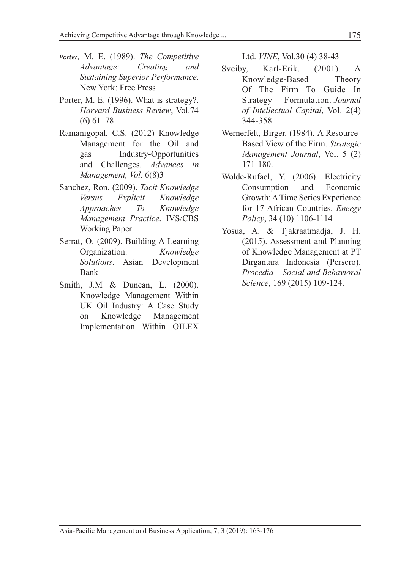- Porter, M. E. (1989). The Competitive Advantage: Creating and **Sustaining Superior Performance.** New York: Free Press
- Porter, M. E. (1996). What is strategy?. Harvard Business Review, Vol.74  $(6)$  61-78.
- Ramanigopal, C.S. (2012) Knowledge Management for the Oil and gas Industry-Opportunities and Challenges. Advances in Management, Vol. 6(8)3
- Sanchez, Ron. (2009). Tacit Knowledge Explicit **Versus** Knowledge Approaches To Knowledge Management Practice. IVS/CBS **Working Paper**
- Serrat, O. (2009). Building A Learning Organization. Knowledge Solutions. Asian Development Bank
- Smith, J.M & Duncan, L. (2000). Knowledge Management Within UK Oil Industry: A Case Study Knowledge on Management Implementation Within OILEX

Ltd. *VINE*, Vol.30 (4) 38-43

- Sveiby, Karl-Erik.  $(2001).$  $\overline{A}$ Knowledge-Based Theory Of The Firm To Guide In Strategy Formulation. Journal of Intellectual Capital, Vol. 2(4) 344-358
- Wernerfelt, Birger. (1984). A Resource-Based View of the Firm. Strategic Management Journal, Vol. 5 (2)  $171 - 180.$
- Wolde-Rufael, Y. (2006). Electricity Consumption and Economic Growth: A Time Series Experience for 17 African Countries. Energy Policy, 34 (10) 1106-1114
- Yosua, A. & Tjakraatmadja, J. H. (2015). Assessment and Planning of Knowledge Management at PT Dirgantara Indonesia (Persero). Procedia - Social and Behavioral Science, 169 (2015) 109-124.